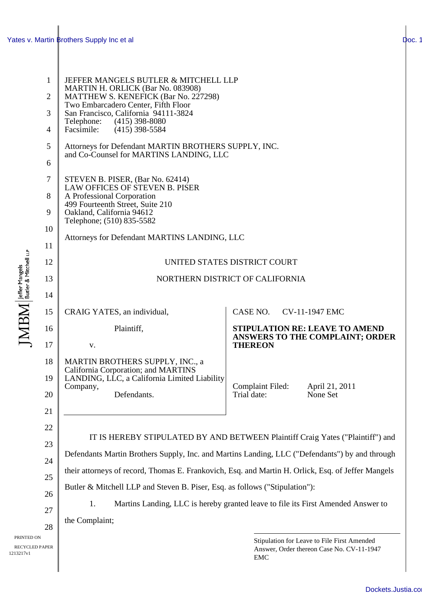## Yates v. Martin **Brothers Supply Inc et al [Doc. 12](http://docs.justia.com/cases/federal/district-courts/california/candce/3:2011cv01947/239796/12/)**

| $\mathbf{1}$<br>$\overline{2}$<br>3 | JEFFER MANGELS BUTLER & MITCHELL LLP<br>MARTIN H. ORLICK (Bar No. 083908)<br>MATTHEW S. KENEFICK (Bar No. 227298)<br>Two Embarcadero Center, Fifth Floor<br>San Francisco, California 94111-3824<br>Telephone: (415) 398-8080<br>Facsimile:<br>$(415)$ 398-5584<br>Attorneys for Defendant MARTIN BROTHERS SUPPLY, INC.<br>and Co-Counsel for MARTINS LANDING, LLC |                                                                                                        |  |  |
|-------------------------------------|--------------------------------------------------------------------------------------------------------------------------------------------------------------------------------------------------------------------------------------------------------------------------------------------------------------------------------------------------------------------|--------------------------------------------------------------------------------------------------------|--|--|
| 4                                   |                                                                                                                                                                                                                                                                                                                                                                    |                                                                                                        |  |  |
| 5<br>6                              |                                                                                                                                                                                                                                                                                                                                                                    |                                                                                                        |  |  |
| 7<br>8<br>9<br>10<br>11             | STEVEN B. PISER, (Bar No. 62414)<br><b>LAW OFFICES OF STEVEN B. PISER</b><br>A Professional Corporation<br>499 Fourteenth Street, Suite 210<br>Oakland, California 94612<br>Telephone; (510) 835-5582<br>Attorneys for Defendant MARTINS LANDING, LLC                                                                                                              |                                                                                                        |  |  |
| 12                                  | UNITED STATES DISTRICT COURT                                                                                                                                                                                                                                                                                                                                       |                                                                                                        |  |  |
| 13                                  | NORTHERN DISTRICT OF CALIFORNIA                                                                                                                                                                                                                                                                                                                                    |                                                                                                        |  |  |
| 14                                  |                                                                                                                                                                                                                                                                                                                                                                    |                                                                                                        |  |  |
| 15                                  | CRAIG YATES, an individual,                                                                                                                                                                                                                                                                                                                                        | CASE NO. CV-11-1947 EMC                                                                                |  |  |
| 16                                  | Plaintiff,                                                                                                                                                                                                                                                                                                                                                         | <b>STIPULATION RE: LEAVE TO AMEND</b><br>ANSWERS TO THE COMPLAINT; ORDER                               |  |  |
| 17                                  | V.                                                                                                                                                                                                                                                                                                                                                                 | <b>THEREON</b>                                                                                         |  |  |
| 18<br>19<br>20<br>21                | MARTIN BROTHERS SUPPLY, INC., a<br><b>California Corporation; and MARTINS</b><br>LANDING, LLC, a California Limited Liability<br>Company,<br>Defendants.                                                                                                                                                                                                           | <b>Complaint Filed:</b><br>April 21, 2011<br>Trial date:<br>None Set                                   |  |  |
| 22<br>23<br>24                      | IT IS HEREBY STIPULATED BY AND BETWEEN Plaintiff Craig Yates ("Plaintiff") and<br>Defendants Martin Brothers Supply, Inc. and Martins Landing, LLC ("Defendants") by and through<br>their attorneys of record, Thomas E. Frankovich, Esq. and Martin H. Orlick, Esq. of Jeffer Mangels                                                                             |                                                                                                        |  |  |
| 25                                  | Butler & Mitchell LLP and Steven B. Piser, Esq. as follows ("Stipulation"):                                                                                                                                                                                                                                                                                        |                                                                                                        |  |  |
| 26                                  | Martins Landing, LLC is hereby granted leave to file its First Amended Answer to<br>1.                                                                                                                                                                                                                                                                             |                                                                                                        |  |  |
| 27                                  | the Complaint;                                                                                                                                                                                                                                                                                                                                                     |                                                                                                        |  |  |
| 28<br><b>PER</b>                    |                                                                                                                                                                                                                                                                                                                                                                    | Stipulation for Leave to File First Amended<br>Answer, Order thereon Case No. CV-11-1947<br><b>EMC</b> |  |  |

 $\mathrm{JMBM}\!\!\!/$  effer Mangels<br>a Mitchell LuP

1213217v1